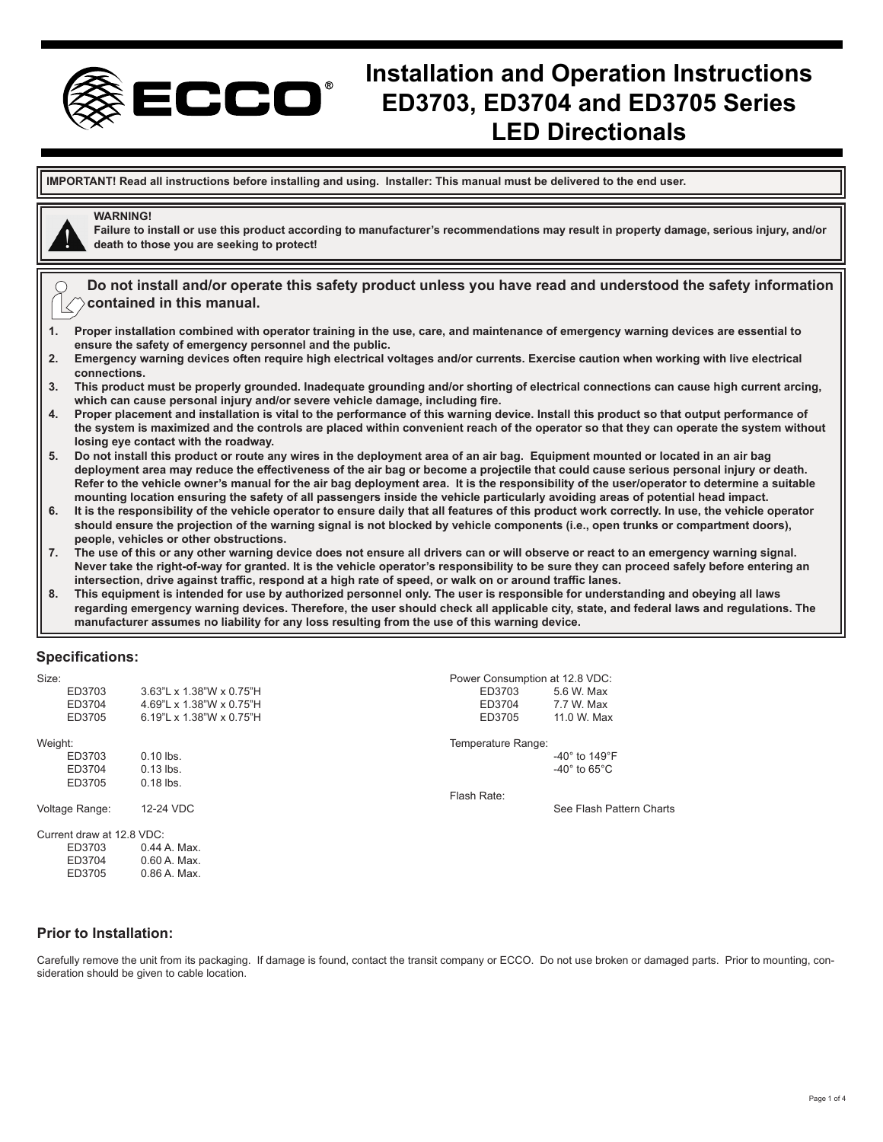

# **Installation and Operation Instructions ED3703, ED3704 and ED3705 Series LED Directionals**

**IMPORTANT! Read all instructions before installing and using. Installer: This manual must be delivered to the end user.**

# **WARNING!**

**Failure to install or use this product according to manufacturer's recommendations may result in property damage, serious injury, and/or death to those you are seeking to protect!**

**Do not install and/or operate this safety product unless you have read and understood the safety information contained in this manual.**

- **1. Proper installation combined with operator training in the use, care, and maintenance of emergency warning devices are essential to ensure the safety of emergency personnel and the public.**
- **2. Emergency warning devices often require high electrical voltages and/or currents. Exercise caution when working with live electrical connections.**
- **3. This product must be properly grounded. Inadequate grounding and/or shorting of electrical connections can cause high current arcing, which can cause personal injury and/or severe vehicle damage, including fire.**
- **4. Proper placement and installation is vital to the performance of this warning device. Install this product so that output performance of the system is maximized and the controls are placed within convenient reach of the operator so that they can operate the system without losing eye contact with the roadway.**
- **5. Do not install this product or route any wires in the deployment area of an air bag. Equipment mounted or located in an air bag deployment area may reduce the effectiveness of the air bag or become a projectile that could cause serious personal injury or death. Refer to the vehicle owner's manual for the air bag deployment area. It is the responsibility of the user/operator to determine a suitable mounting location ensuring the safety of all passengers inside the vehicle particularly avoiding areas of potential head impact.**
- **6. It is the responsibility of the vehicle operator to ensure daily that all features of this product work correctly. In use, the vehicle operator should ensure the projection of the warning signal is not blocked by vehicle components (i.e., open trunks or compartment doors), people, vehicles or other obstructions.**
- **7. The use of this or any other warning device does not ensure all drivers can or will observe or react to an emergency warning signal. Never take the right-of-way for granted. It is the vehicle operator's responsibility to be sure they can proceed safely before entering an intersection, drive against traffic, respond at a high rate of speed, or walk on or around traffic lanes.**
- **8. This equipment is intended for use by authorized personnel only. The user is responsible for understanding and obeying all laws regarding emergency warning devices. Therefore, the user should check all applicable city, state, and federal laws and regulations. The manufacturer assumes no liability for any loss resulting from the use of this warning device.**

#### **Specifications:**

| Size:                     |                          | Power Consumption at 12.8 VDC: |                                    |  |  |  |
|---------------------------|--------------------------|--------------------------------|------------------------------------|--|--|--|
| ED3703                    | 3.63"L x 1.38"W x 0.75"H | ED3703                         | 5.6 W. Max                         |  |  |  |
| ED3704                    | 4.69"L x 1.38"W x 0.75"H | ED3704                         | 7.7 W. Max                         |  |  |  |
| ED3705                    | 6.19"L x 1.38"W x 0.75"H | ED3705                         | 11.0 W. Max                        |  |  |  |
| Weight:                   |                          | Temperature Range:             |                                    |  |  |  |
| ED3703                    | $0.10$ lbs.              |                                | -40 $^{\circ}$ to 149 $^{\circ}$ F |  |  |  |
| ED3704                    | $0.13$ lbs.              |                                | $-40^\circ$ to 65 $^\circ$ C       |  |  |  |
| ED3705                    | $0.18$ lbs.              |                                |                                    |  |  |  |
|                           |                          | Flash Rate:                    |                                    |  |  |  |
| Voltage Range:            | 12-24 VDC                |                                | See Flash Pattern Charts           |  |  |  |
| Current draw at 12.8 VDC: |                          |                                |                                    |  |  |  |
| ED3703                    | 0.44 A. Max.             |                                |                                    |  |  |  |
| ED3704                    | $0.60$ A. Max.           |                                |                                    |  |  |  |
| ED3705                    | 0.86 A. Max.             |                                |                                    |  |  |  |

#### **Prior to Installation:**

Carefully remove the unit from its packaging. If damage is found, contact the transit company or ECCO. Do not use broken or damaged parts. Prior to mounting, consideration should be given to cable location.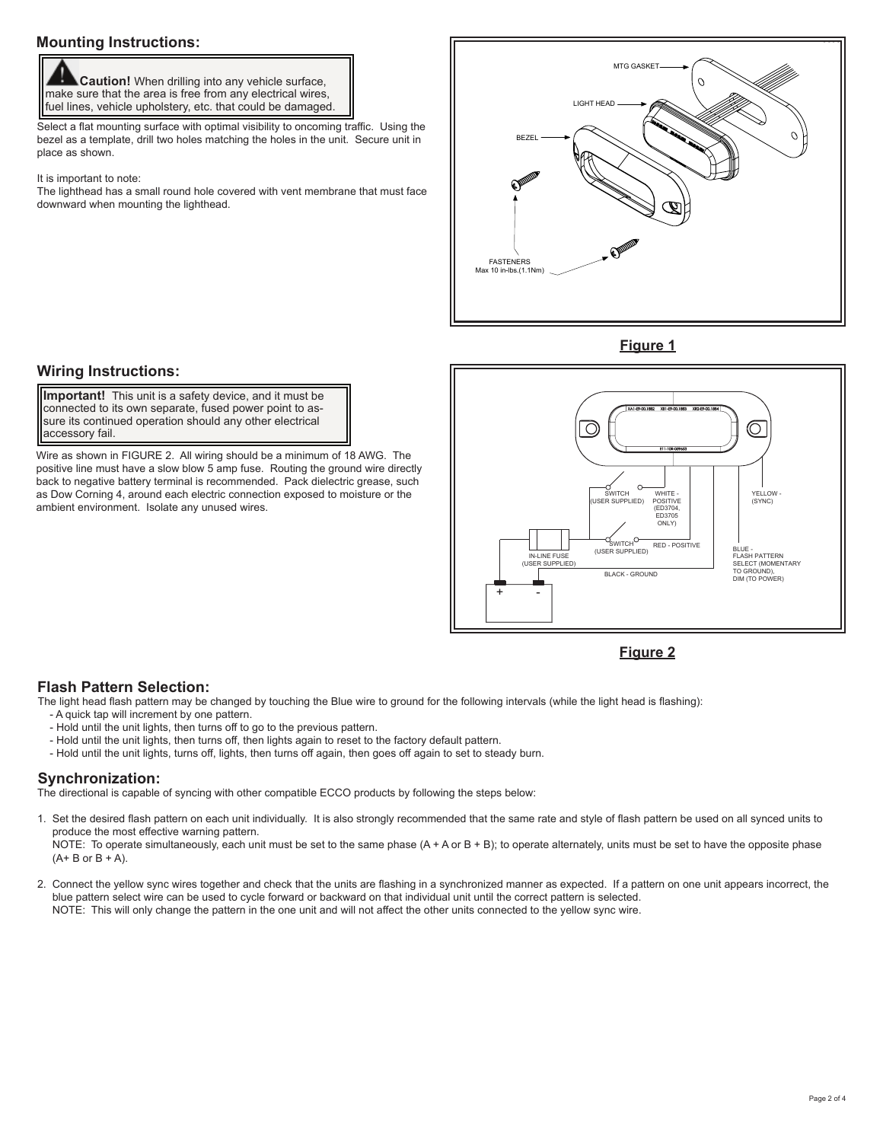# **Mounting Instructions:**

 **Caution!** When drilling into any vehicle surface, make sure that the area is free from any electrical wires, fuel lines, vehicle upholstery, etc. that could be damaged.

Select a flat mounting surface with optimal visibility to oncoming traffic. Using the bezel as a template, drill two holes matching the holes in the unit. Secure unit in place as shown.

It is important to note:

The lighthead has a small round hole covered with vent membrane that must face downward when mounting the lighthead.



**Figure 1**

# **Wiring Instructions:**

 connected to its own separate, fused power point to as-**Important!** This unit is a safety device, and it must be sure its continued operation should any other electrical accessory fail.

Wire as shown in FIGURE 2. All wiring should be a minimum of 18 AWG. The positive line must have a slow blow 5 amp fuse. Routing the ground wire directly back to negative battery terminal is recommended. Pack dielectric grease, such as Dow Corning 4, around each electric connection exposed to moisture or the ambient environment. Isolate any unused wires.



**Figure 2**

## **Flash Pattern Selection:**

The light head flash pattern may be changed by touching the Blue wire to ground for the following intervals (while the light head is flashing):

- A quick tap will increment by one pattern.
- Hold until the unit lights, then turns off to go to the previous pattern.
- Hold until the unit lights, then turns off, then lights again to reset to the factory default pattern.
- Hold until the unit lights, turns off, lights, then turns off again, then goes off again to set to steady burn.

## **Synchronization:**

The directional is capable of syncing with other compatible ECCO products by following the steps below:

1. Set the desired flash pattern on each unit individually. It is also strongly recommended that the same rate and style of flash pattern be used on all synced units to produce the most effective warning pattern.

NOTE: To operate simultaneously, each unit must be set to the same phase  $(A + A$  or B + B); to operate alternately, units must be set to have the opposite phase  $(A + B or B + A).$ 

2. Connect the yellow sync wires together and check that the units are flashing in a synchronized manner as expected. If a pattern on one unit appears incorrect, the blue pattern select wire can be used to cycle forward or backward on that individual unit until the correct pattern is selected. NOTE: This will only change the pattern in the one unit and will not affect the other units connected to the yellow sync wire.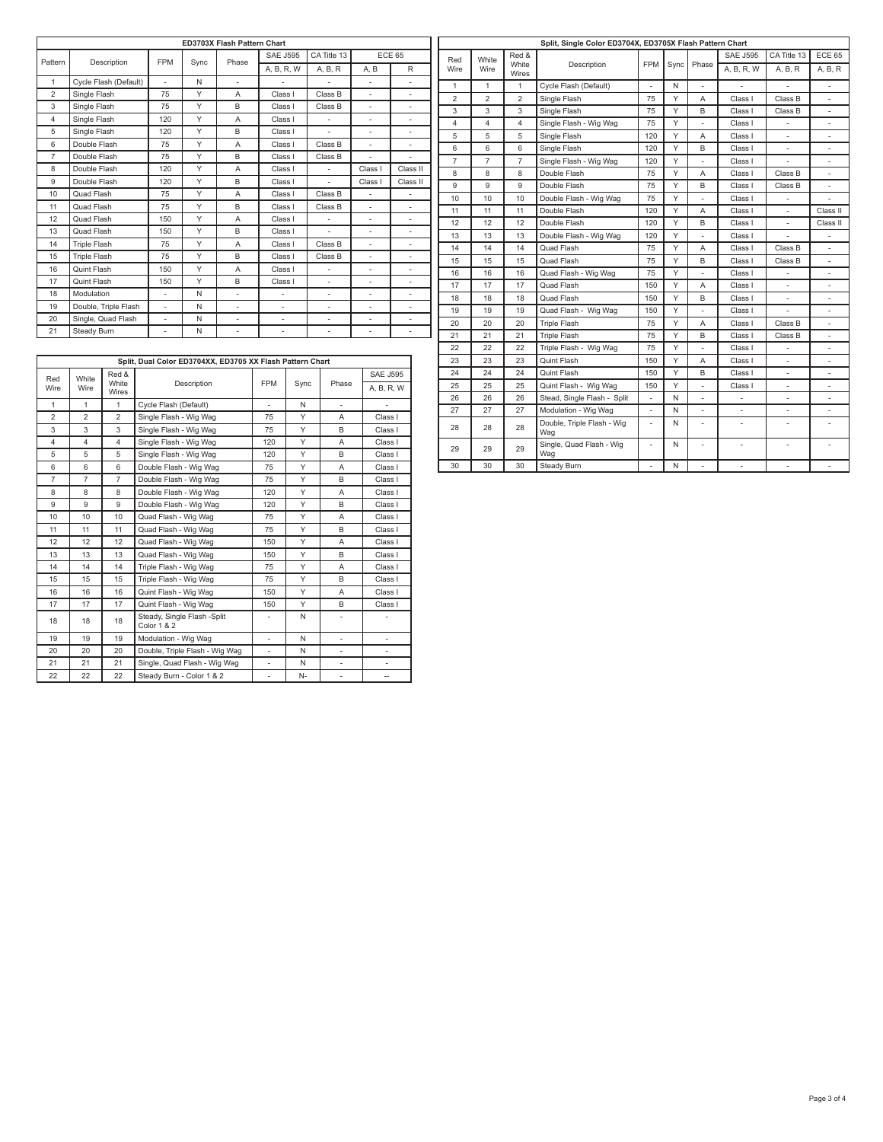| ED3703X Flash Pattern Chart |                       |            |      |                          |                                      |                           |               |                          |
|-----------------------------|-----------------------|------------|------|--------------------------|--------------------------------------|---------------------------|---------------|--------------------------|
| Pattern                     | Description           | <b>FPM</b> | Sync |                          | <b>SAE J595</b>                      | CA Title 13               | <b>ECE 65</b> |                          |
|                             |                       |            |      | Phase                    | A, B, R, W                           | A, B, R                   | A, B          | R                        |
| $\mathbf{1}$                | Cycle Flash (Default) | ÷.         | N    | $\overline{a}$           | $\overline{a}$<br>٠                  |                           | ÷.            | $\overline{a}$           |
| $\overline{2}$              | Single Flash          | 75         | Y    | A                        | Class I                              | Class B                   | ÷.<br>٠       |                          |
| 3                           | Single Flash          | 75         | Y    | B                        | Class I                              | Class B<br>$\overline{a}$ |               |                          |
| $\overline{4}$              | Single Flash          | 120        | Y    | A                        | Class I                              | ÷,                        |               | $\overline{\phantom{0}}$ |
| 5                           | Single Flash          | 120        | Y    | B                        | Class I                              | $\overline{a}$            | ÷,            | ٠                        |
| 6                           | Double Flash          | 75         | Y    | A                        | Class I                              | Class B                   | ÷,            | ٠                        |
| $\overline{7}$              | Double Flash          | 75         | Y    | B                        | Class I                              | Class B                   | ÷,            | $\overline{a}$           |
| 8                           | Double Flash          | 120        | Y    | A                        | Class I                              | $\overline{a}$            | Class I       | Class II                 |
| 9                           | Double Flash          | 120        | Y    | B                        | Class I                              | $\overline{a}$            | Class I       | Class II                 |
| 10                          | Quad Flash            | 75         | Y    | A                        | Class I                              | Class B                   | ٠             |                          |
| 11                          | Quad Flash            | 75         | Y    | B                        | Class I                              | Class B                   | ÷,            | $\overline{\phantom{0}}$ |
| 12                          | Quad Flash            | 150        | Y    | A                        | Class I                              | ٠                         | ٠             | ٠                        |
| 13                          | Quad Flash            | 150        | Y    | B                        | Class I                              | ÷,                        | ٠             | ٠                        |
| 14                          | <b>Triple Flash</b>   | 75         | Y    | A                        | Class I                              | Class B                   | ٠             | $\overline{\phantom{a}}$ |
| 15                          | Triple Flash          | 75         | Y    | B                        | Class I                              | Class B                   | ÷,            | $\frac{1}{2}$            |
| 16                          | Quint Flash           | 150        | Y    | A                        | Class I                              | ٠                         | ÷,            | ٠                        |
| 17                          | Quint Flash           | 150        | Y    | B                        | Class I<br>÷,                        |                           | ÷,            | ٠                        |
| 18                          | Modulation            | ÷.         | N    | ÷.                       | ÷                                    | $\overline{a}$            | ÷,            | $\overline{a}$           |
| 19                          | Double, Triple Flash  | ÷,         | N    | $\overline{\phantom{a}}$ | $\overline{\phantom{a}}$<br>÷,<br>÷, |                           |               | ٠                        |
| 20                          | Single, Quad Flash    | ÷,         | N    | $\overline{\phantom{a}}$ | $\overline{\phantom{a}}$             | ÷,                        | ÷,            | ٠                        |
| 21                          | Steady Burn           | ÷,         | N    | $\overline{\phantom{a}}$ | ٠                                    | $\overline{\phantom{m}}$  | ٠             | ٠                        |

|     | $\overline{2}$ | $\overline{2}$ | $\overline{2}$ | Single Flash                      | 75             | Y | A                        | Class I        | Class B                  |                |
|-----|----------------|----------------|----------------|-----------------------------------|----------------|---|--------------------------|----------------|--------------------------|----------------|
|     | 3              | 3              | 3              | Single Flash                      | 75             | Y | B                        | Class I        | Class B                  |                |
|     | $\overline{4}$ | $\overline{4}$ | $\overline{4}$ | Single Flash - Wig Wag            | 75             | Y |                          | Class I        |                          |                |
|     | 5              | 5              | 5              | Single Flash                      | 120            | Y | A                        | Class I        | $\overline{\phantom{a}}$ | ٠              |
|     | 6              | 6              | 6              | Single Flash                      | 120            | Υ | B                        | Class I        | ٠                        |                |
|     | $\overline{7}$ | $\overline{7}$ | $\overline{7}$ | Single Flash - Wig Wag            | 120            | Y | ÷,                       | Class I        | ÷                        | ٠              |
| II  | 8              | 8              | 8              | Double Flash                      | 75             | Y | A                        | Class I        | Class B                  |                |
| II. | 9              | 9              | 9              | Double Flash                      | 75             | Y | B                        | Class I        | Class B                  | $\blacksquare$ |
|     | 10             | 10             | 10             | Double Flash - Wig Wag            | 75             | Υ | $\overline{a}$           | Class I        |                          |                |
|     | 11             | 11             | 11             | Double Flash                      | 120            | Υ | A                        | Class I        | $\overline{\phantom{a}}$ | Class II       |
|     | 12             | 12             | 12             | Double Flash                      | 120            | Y | B                        | Class I        | ÷                        | Class II       |
|     | 13             | 13             | 13             | Double Flash - Wig Wag            | 120            | Y |                          | Class I        |                          |                |
|     | 14             | 14             | 14             | Quad Flash                        | 75             | Y | A                        | Class I        | Class B                  | ÷.             |
|     | 15             | 15             | 15             | Quad Flash                        | 75             | Y | B                        | Class I        | Class B                  |                |
|     | 16             | 16             | 16             | Quad Flash - Wig Wag              | 75             | Y | $\overline{\phantom{a}}$ | Class I        | $\overline{\phantom{a}}$ | ٠              |
|     | 17             | 17             | 17             | Quad Flash                        | 150            | Y | A                        | Class I        |                          |                |
|     | 18             | 18             | 18             | Quad Flash                        | 150            | Y | B                        | Class I        | $\overline{\phantom{a}}$ | ٠              |
|     | 19             | 19             | 19             | Quad Flash - Wig Wag              | 150            | Υ | $\overline{a}$           | Class I        |                          |                |
|     | 20             | 20             | 20             | <b>Triple Flash</b>               | 75             | Y | A                        | Class I        | Class B                  | $\blacksquare$ |
|     | 21             | 21             | 21             | <b>Triple Flash</b>               | 75             | Υ | B                        | Class I        | Class B                  |                |
|     | 22             | 22             | 22             | Triple Flash - Wig Wag            | 75             | Υ | ä,                       | Class I        | $\overline{\phantom{a}}$ | ٠.             |
|     | 23             | 23             | 23             | Quint Flash                       | 150            | Y | A                        | Class I        | $\overline{\phantom{a}}$ |                |
|     | 24             | 24             | 24             | Quint Flash                       | 150            | Υ | B                        | Class I        |                          |                |
|     | 25             | 25             | 25             | Quint Flash - Wig Wag             | 150            | Y | ä,                       | Class I        | $\overline{\phantom{a}}$ |                |
|     | 26             | 26             | 26             | Stead, Single Flash - Split       | ÷,             | N | $\overline{\phantom{0}}$ | $\blacksquare$ |                          |                |
|     | 27             | 27             | 27             | Modulation - Wig Wag              | ÷,             | N | ÷.                       | ÷.             | $\overline{\phantom{a}}$ | $\blacksquare$ |
|     | 28             | 28             | 28             | Double, Triple Flash - Wig<br>Wag | ÷,             | N | ÷.                       |                |                          |                |
|     | 29             | 29             | 29             | Single, Quad Flash - Wig<br>Wag   | $\overline{a}$ | N | $\overline{\phantom{a}}$ |                | ٠                        | ٠              |
|     | 30             | 30             | 30             | Steady Burn                       | ÷,             | N | ä,                       | $\blacksquare$ | $\frac{1}{2}$            | ÷              |

**Split, Single Color ED3704X, ED3705X Flash Pattern Chart**

SAE J595 CA Title 13 ECE 65 A, B, R, W A, B, R A, B, R

Description FPM Sync Phase

Red Wire

٦

White Wire

Red & ...<br>White Wires

1 | 1 | 1 | Cycle Flash (Default) | - | N

#### **Split, Dual Color ED3704XX, ED3705 XX Flash Pattern Chart** Red Wire White Wire Red & White Wires Description | FPM Sync | Phase SAE J595 A, B, R, W 1 1 1 Cycle Flash (Default) - N 2 2 3 Single Flash - Wig Wag 75 Y A Class I 3 3 3 Single Flash - Wig Wag 75 Y B Class I 4 4 4 Single Flash - Wig Wag 120 Y A Class I 5 | 5 | Single Flash - Wig Wag | 120 | Y | B | Class I 6 | 6 | Double Flash - Wig Wag | 75 | Y | A | Class I 7 7 7 Double Flash - Wig Wag 75 Y B Class I 8 8 8 Double Flash - Wig Wag 120 Y A Class I 9 9 9 Double Flash - Wig Wag 120 Y B Class I 10 | 10 | Quad Flash - Wig Wag | 75 | Y | A | Class I 11 11 11 Quad Flash - Wig Wag 75 Y B Class I 12 12 12 Quad Flash - Wig Wag 150 Y A Class I 13 13 13 Quad Flash - Wig Wag 150 Y B Class I 14 14 14 Triple Flash - Wig Wag 75 Y A Class I<br>15 15 15 Triple Flash - Wig Wag 75 Y B Class I 15 15 15 Triple Flash - Wig Wag 75 Y 16 16 16 Quint Flash - Wig Wag 150 Y A Class I 17 17 17 Quint Flash - Wig Wag 150 Y B Class I<br>18 18 18 Steady, Single Flash - Split N N -18 18 18 Steady, Single Flash -Split Color 1 & 2 - N N - 1 -19 | 19 | Modulation - Wig Wag | - | N | - | -20 20 20 Double, Triple Flash - Wig Wag - N - - 21 21 21 Single, Quad Flash - Wig Wag - N - -<br>22 22 22 Steady Burn - Color 1 & 2 - N - - - $22 \quad 22 \quad 22$  Steady Burn - Color 1 & 2  $\quad \overline{\phantom{1}}$  .